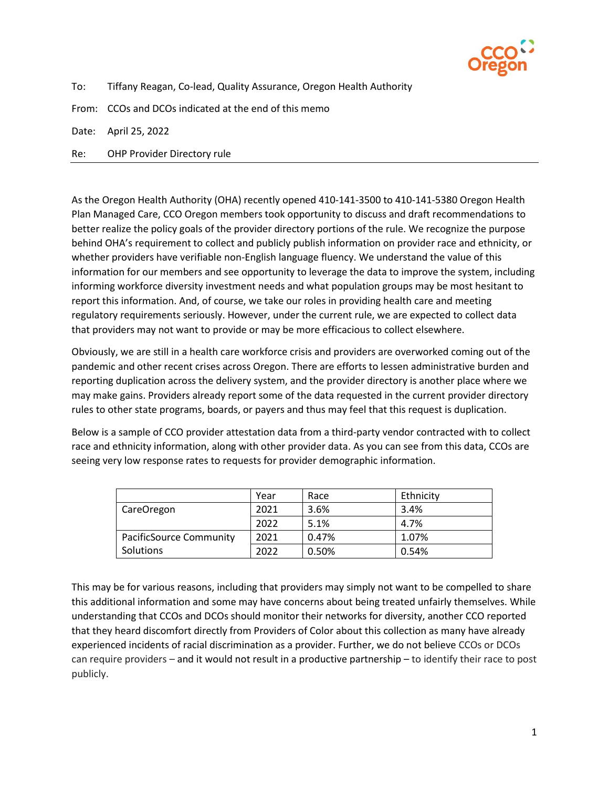

To: Tiffany Reagan, Co-lead, Quality Assurance, Oregon Health Authority

From: CCOs and DCOs indicated at the end of this memo

Date: April 25, 2022

Re: OHP Provider Directory rule

As the Oregon Health Authority (OHA) recently opened 410-141-3500 to 410-141-5380 Oregon Health Plan Managed Care, CCO Oregon members took opportunity to discuss and draft recommendations to better realize the policy goals of the provider directory portions of the rule. We recognize the purpose behind OHA's requirement to collect and publicly publish information on provider race and ethnicity, or whether providers have verifiable non-English language fluency. We understand the value of this information for our members and see opportunity to leverage the data to improve the system, including informing workforce diversity investment needs and what population groups may be most hesitant to report this information. And, of course, we take our roles in providing health care and meeting regulatory requirements seriously. However, under the current rule, we are expected to collect data that providers may not want to provide or may be more efficacious to collect elsewhere.

Obviously, we are still in a health care workforce crisis and providers are overworked coming out of the pandemic and other recent crises across Oregon. There are efforts to lessen administrative burden and reporting duplication across the delivery system, and the provider directory is another place where we may make gains. Providers already report some of the data requested in the current provider directory rules to other state programs, boards, or payers and thus may feel that this request is duplication.

Below is a sample of CCO provider attestation data from a third-party vendor contracted with to collect race and ethnicity information, along with other provider data. As you can see from this data, CCOs are seeing very low response rates to requests for provider demographic information.

|                         | Year | Race  | Ethnicity |
|-------------------------|------|-------|-----------|
| CareOregon              | 2021 | 3.6%  | 3.4%      |
|                         | 2022 | 5.1%  | 4.7%      |
| PacificSource Community | 2021 | 0.47% | 1.07%     |
| Solutions               | 2022 | 0.50% | 0.54%     |

This may be for various reasons, including that providers may simply not want to be compelled to share this additional information and some may have concerns about being treated unfairly themselves. While understanding that CCOs and DCOs should monitor their networks for diversity, another CCO reported that they heard discomfort directly from Providers of Color about this collection as many have already experienced incidents of racial discrimination as a provider. Further, we do not believe CCOs or DCOs can require providers – and it would not result in a productive partnership – to identify their race to post publicly.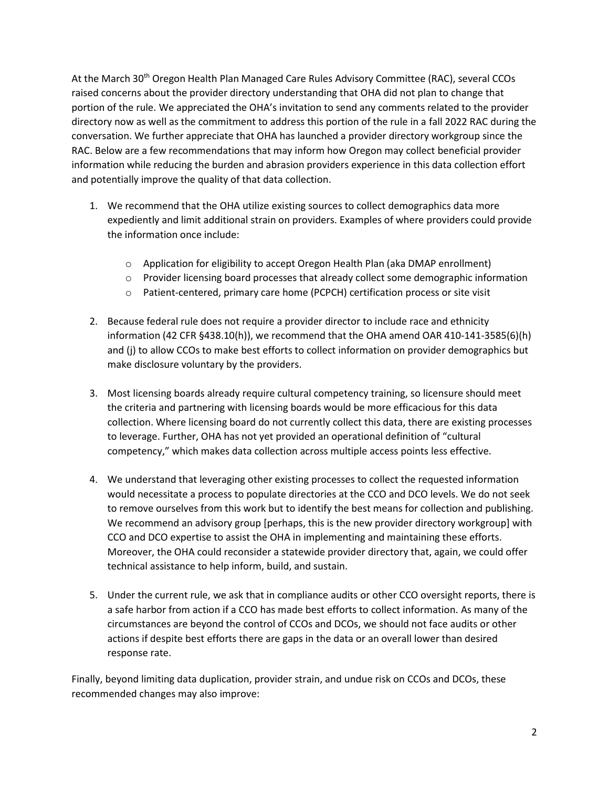At the March 30th Oregon Health Plan Managed Care Rules Advisory Committee (RAC), several CCOs raised concerns about the provider directory understanding that OHA did not plan to change that portion of the rule. We appreciated the OHA's invitation to send any comments related to the provider directory now as well as the commitment to address this portion of the rule in a fall 2022 RAC during the conversation. We further appreciate that OHA has launched a provider directory workgroup since the RAC. Below are a few recommendations that may inform how Oregon may collect beneficial provider information while reducing the burden and abrasion providers experience in this data collection effort and potentially improve the quality of that data collection.

- 1. We recommend that the OHA utilize existing sources to collect demographics data more expediently and limit additional strain on providers. Examples of where providers could provide the information once include:
	- $\circ$  Application for eligibility to accept Oregon Health Plan (aka DMAP enrollment)
	- $\circ$  Provider licensing board processes that already collect some demographic information
	- o Patient-centered, primary care home (PCPCH) certification process or site visit
- 2. Because federal rule does not require a provider director to include race and ethnicity information (42 CFR §438.10(h)), we recommend that the OHA amend OAR 410-141-3585(6)(h) and (j) to allow CCOs to make best efforts to collect information on provider demographics but make disclosure voluntary by the providers.
- 3. Most licensing boards already require cultural competency training, so licensure should meet the criteria and partnering with licensing boards would be more efficacious for this data collection. Where licensing board do not currently collect this data, there are existing processes to leverage. Further, OHA has not yet provided an operational definition of "cultural competency," which makes data collection across multiple access points less effective.
- 4. We understand that leveraging other existing processes to collect the requested information would necessitate a process to populate directories at the CCO and DCO levels. We do not seek to remove ourselves from this work but to identify the best means for collection and publishing. We recommend an advisory group [perhaps, this is the new provider directory workgroup] with CCO and DCO expertise to assist the OHA in implementing and maintaining these efforts. Moreover, the OHA could reconsider a statewide provider directory that, again, we could offer technical assistance to help inform, build, and sustain.
- 5. Under the current rule, we ask that in compliance audits or other CCO oversight reports, there is a safe harbor from action if a CCO has made best efforts to collect information. As many of the circumstances are beyond the control of CCOs and DCOs, we should not face audits or other actions if despite best efforts there are gaps in the data or an overall lower than desired response rate.

Finally, beyond limiting data duplication, provider strain, and undue risk on CCOs and DCOs, these recommended changes may also improve: